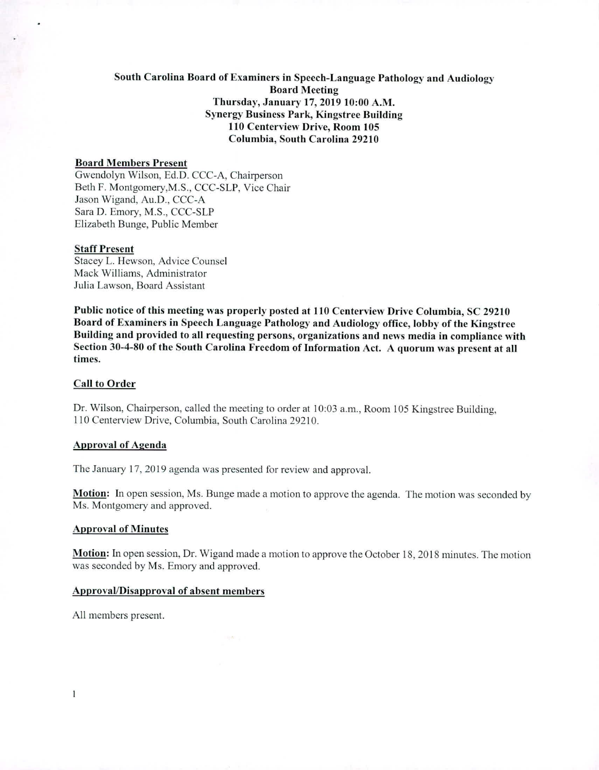# **South Carolina Board of Examiners in Speech-Language Pathology and Audiology Board Meeting Thursday, January 17, 2019 10:00 A.M. Synergy Business Park, Kingstree Building 110 Centerview Drive, Room 105 Columbia, South Carolina 29210**

### **Board Members Present**

Gwendolyn Wilson, Ed.D. CCC-A, Chairperson Beth F. Montgomery,M.S., CCC-SLP, Vice Chair Jason Wigand, Au.D., CCC-A Sara D. Emory, M.S., CCC-SLP Elizabeth Bunge, Public Member

#### **Staff Present**

Stacey L. Hewson, Advice Counsel Mack Williams, Administrator Julia Lawson, Board Assistant

**Public notice of this meeting was properly posted at 110 Centerview Drive Columbia, SC 29210 Board of Examiners in Speech Language Pathology and Audiology office, lobby of the Kingstree Building and provided to all requesting persons, organizations and news media in compliance with Section 30-4-80 of the South Carolina Freedom of Information Act. A quorum was present at all times.** 

#### **Call to Order**

Dr. Wilson, Chairperson, called the meeting to order at 10:03 a.m., Room 105 Kingstree Building, 110 Centerview Drive, Columbia, South Carolina 29210.

### **Approval of Agenda**

The January 17, 2019 agenda was presented for review and approval.

**Motion:** In open session, Ms. Bunge made a motion to approve the agenda. The motion was seconded by Ms. Montgomery and approved.

### **Approval of Minutes**

**Motion:** In open session, Dr. Wigand made a motion to approve the October 18,2018 minutes. The motion was seconded by Ms. Emory and approved.

### **Approval/Disapproval of absent members**

All members present.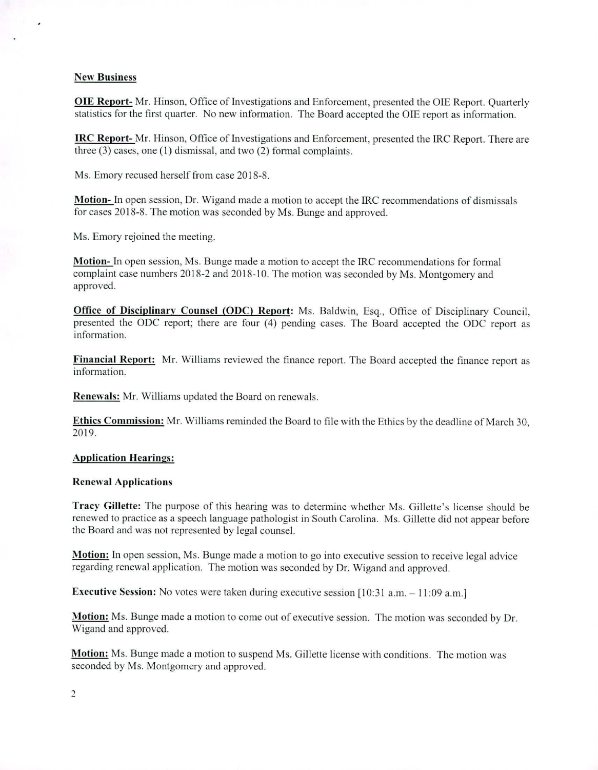### **New Business**

**OIE Report-** Mr. Hinson, Office of Investigations and Enforcement, presented the OIE Report. Quarterly statistics for the first quarter. No new information. The Board accepted the OIE report as information.

**IRC Report-** Mr. Hinson, Office of Investigations and Enforcement, presented the IRC Report. There are three (3) cases, one (1) dismissal, and two (2) formal complaints.

Ms. Emory recused herself from case 2018-8.

Motion-In open session, Dr. Wigand made a motion to accept the IRC recommendations of dismissals for cases 2018-8. The motion was seconded by Ms. Bunge and approved.

Ms. Emory rejoined the meeting.

**Motion-** In open session, Ms. Bunge made a motion to accept the IRC recommendations for formal complaint case numbers 2018-2 and 2018-10. The motion was seconded by Ms. Montgomery and approved.

**Office of Disciplinary Counsel (ODC) Report:** Ms. Baldwin, Esq., Office of Disciplinary Council, presented the ODC report; there are four (4) pending cases. The Board accepted the ODC report as information.

**Financial Report:** Mr. Williams reviewed the finance report. The Board accepted the finance report as information.

Renewals: Mr. Williams updated the Board on renewals.

**Ethics Commission:** Mr. Williams reminded the Board to file with the Ethics by the deadline of March 30, 2019.

### **Application Hearings:**

## **Renewal Applications**

**Tracy Gillette: The purpose** of this hearing was to determine whether Ms. Gillette's license should be renewed to practice as a speech language pathologist in South Carolina. Ms. Gillette did not appear before the Board and was not represented by legal counsel.

**Motion:** In open session, Ms. Bunge made a motion to go into executive session to receive legal advice regarding renewal application. The motion was seconded by Dr. Wigand and approved.

**Executive Session:** No votes were taken during executive session [10:31 a.m. - 11:09 a.m.]

**Motion:** Ms. Bunge made a motion to come out of executive session. The motion was seconded by Dr. Wigand and approved.

**Motion:** Ms. Bunge made a motion to suspend Ms. Gillette license with conditions. The motion was seconded by Ms. Montgomery and approved.